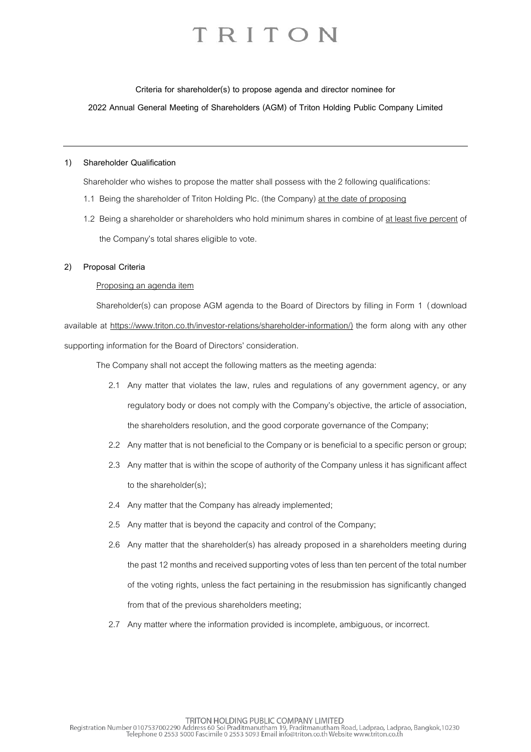**Criteria for shareholder(s) to propose agenda and director nominee for**

**2022 Annual General Meeting of Shareholders (AGM) of Triton Holding Public Company Limited**

#### **1) Shareholder Qualification**

Shareholder who wishes to propose the matter shall possess with the 2 following qualifications:

- 1.1 Being the shareholder of Triton Holding Plc. (the Company) at the date of proposing
- 1.2 Being a shareholder or shareholders who hold minimum shares in combine of at least five percent of the Company's total shares eligible to vote.

#### **2) Proposal Criteria**

#### Proposing an agenda item

Shareholder(s) can propose AGM agenda to the Board of Directors by filling in Form 1 (download available at https://www.triton.co.th/investor-relations/shareholder-information/) the form along with any other supporting information for the Board of Directors' consideration.

The Company shall not accept the following matters as the meeting agenda:

- 2.1 Any matter that violates the law, rules and regulations of any government agency, or any regulatory body or does not comply with the Company's objective, the article of association, the shareholders resolution, and the good corporate governance of the Company;
- 2.2 Any matter that is not beneficial to the Company or is beneficial to a specific person or group;
- 2.3 Any matter that is within the scope of authority of the Company unless it has significant affect to the shareholder(s);
- 2.4 Any matter that the Company has already implemented;
- 2.5 Any matter that is beyond the capacity and control of the Company;
- 2.6 Any matter that the shareholder(s) has already proposed in a shareholders meeting during the past 12 months and received supporting votes of less than ten percent of the total number of the voting rights, unless the fact pertaining in the resubmission has significantly changed from that of the previous shareholders meeting;
- 2.7 Any matter where the information provided is incomplete, ambiguous, or incorrect.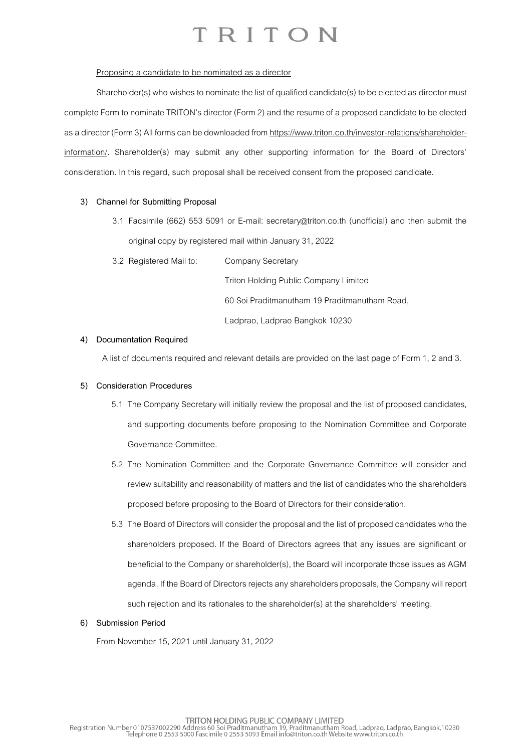#### Proposing a candidate to be nominated as a director

Shareholder(s) who wishes to nominate the list of qualified candidate(s) to be elected as director must complete Form to nominate TRITON's director (Form 2) and the resume of a proposed candidate to be elected as a director (Form 3) All forms can be downloaded from https://www.triton.co.th/investor-relations/shareholderinformation/. Shareholder(s) may submit any other supporting information for the Board of Directors' consideration. In this regard, such proposal shall be received consent from the proposed candidate.

#### **3) Channel for Submitting Proposal**

- 3.1 Facsimile (662) 553 5091 or E-mail: [secretary@triton.co.th](file:///D:/Users/tharakorn/AppData/Local/Microsoft/Windows/Temporary%20Internet%20Files/Content.Outlook/ZROAD9I4/secretary@triton.co.th) (unofficial) and then submit the original copy by registered mail within January 31, 2022
- 3.2 Registered Mail to: Company Secretary

Triton Holding Public Company Limited 60 Soi Praditmanutham 19 Praditmanutham Road, Ladprao, Ladprao Bangkok 10230

#### **4) Documentation Required**

A list of documents required and relevant details are provided on the last page of Form 1, 2 and 3.

#### **5) Consideration Procedures**

- 5.1 The Company Secretary will initially review the proposal and the list of proposed candidates, and supporting documents before proposing to the Nomination Committee and Corporate Governance Committee.
- 5.2 The Nomination Committee and the Corporate Governance Committee will consider and review suitability and reasonability of matters and the list of candidates who the shareholders proposed before proposing to the Board of Directors for their consideration.
- 5.3 The Board of Directors will consider the proposal and the list of proposed candidates who the shareholders proposed. If the Board of Directors agrees that any issues are significant or beneficial to the Company or shareholder(s), the Board will incorporate those issues as AGM agenda. If the Board of Directors rejects any shareholders proposals, the Company will report such rejection and its rationales to the shareholder(s) at the shareholders' meeting.

#### **6) Submission Period**

From November 15, 2021 until January 31, 2022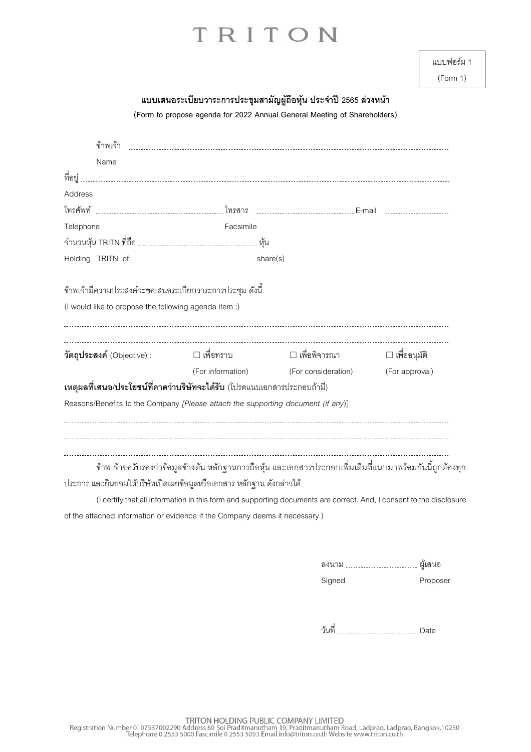| แบบฟอร์ม 1 |  |
|------------|--|
|------------|--|

(Form 1)

| แบบเสนอระเบียบวาระการประชุมสามัญผู้ถือหุ้น ประจำปี 2565 ล่วงหน้า<br>(Form to propose agenda for 2022 Annual General Meeting of Shareholders) |                                                                                                                     |                                                                                                          |                                       |                |
|----------------------------------------------------------------------------------------------------------------------------------------------|---------------------------------------------------------------------------------------------------------------------|----------------------------------------------------------------------------------------------------------|---------------------------------------|----------------|
|                                                                                                                                              | ข้าพเจ้า                                                                                                            |                                                                                                          |                                       |                |
|                                                                                                                                              | Name                                                                                                                |                                                                                                          |                                       |                |
| ที่อยู่                                                                                                                                      |                                                                                                                     |                                                                                                          |                                       |                |
| Address                                                                                                                                      |                                                                                                                     |                                                                                                          |                                       |                |
|                                                                                                                                              |                                                                                                                     |                                                                                                          |                                       |                |
| Telephone                                                                                                                                    |                                                                                                                     | Facsimile                                                                                                |                                       |                |
|                                                                                                                                              |                                                                                                                     |                                                                                                          |                                       |                |
|                                                                                                                                              | Holding TRITN of                                                                                                    | share(s)                                                                                                 |                                       |                |
|                                                                                                                                              |                                                                                                                     | ข้าพเจ้ามีความประสงค์จะขอเสนอระเบียบวาระการประชุม ดังนี้                                                 |                                       |                |
|                                                                                                                                              |                                                                                                                     | (I would like to propose the following agenda item;)                                                     |                                       |                |
|                                                                                                                                              | วัตถุประสงค์ (Objective) :                                                                                          | □ เพื่อทราบ                                                                                              |                                       |                |
|                                                                                                                                              |                                                                                                                     |                                                                                                          | (For information) (For consideration) | (For approval) |
|                                                                                                                                              |                                                                                                                     | เหตุผลที่เสนอ/ประโยชน์ที่คาดว่าบริษัทจะได้รับ (โปรดแนบเอกสารประกอบถ้ามี)                                 |                                       |                |
|                                                                                                                                              |                                                                                                                     | Reasons/Benefits to the Company [Please attach the supporting document (if any)]                         |                                       |                |
|                                                                                                                                              |                                                                                                                     |                                                                                                          |                                       |                |
|                                                                                                                                              |                                                                                                                     | ข้าพเจ้าขอรับรองว่าข้อมูลข้างต้น หลักฐานการถือหุ้น และเอกสารประกอบเพิ่มเติมที่แนบมาพร้อมกันนี้ถูกต้องทุก |                                       |                |
|                                                                                                                                              |                                                                                                                     | ประการ และยินยอมให้บริษัทเปิดเผยข้อมูลหรือเอกสาร หลักฐาน ดังกล่าวได้                                     |                                       |                |
|                                                                                                                                              | (I certify that all information in this form and supporting documents are correct. And, I consent to the disclosure |                                                                                                          |                                       |                |

of the attached information or evidence if the Company deems it necessary.)

| ลงนาม  | ผ้เสนอ   |
|--------|----------|
| Signed | Proposer |

วันที่ Date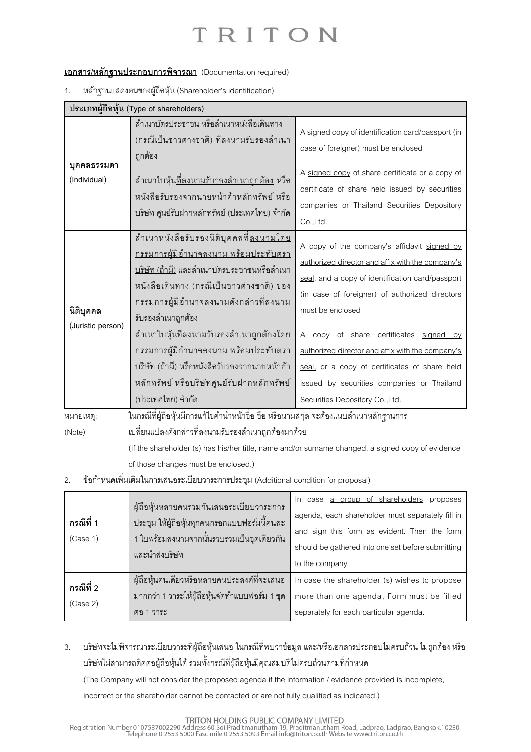#### **เอกสาร/หลักฐานประกอบการพิจารณา** (Documentation required)

1. หลักฐานแสดงตนของผู้ถือหุ้น (Shareholder's identification)

|                                | ประเภทผู้ถือหุ้น (Type of shareholders)                                                                                                                                                                                                                          |                                                                                                                                                                                                                              |  |
|--------------------------------|------------------------------------------------------------------------------------------------------------------------------------------------------------------------------------------------------------------------------------------------------------------|------------------------------------------------------------------------------------------------------------------------------------------------------------------------------------------------------------------------------|--|
| บุคคลธรรมดา<br>(Individual)    | ลำเนาบัตรประชาชน หรือลำเนาหนังสือเดินทาง<br>(กรณีเป็นชาวต่างชาติ) <u>ที่ลงนามรับรองสำเนา</u><br><u>ถูกต้อง</u>                                                                                                                                                   | A signed copy of identification card/passport (in<br>case of foreigner) must be enclosed                                                                                                                                     |  |
|                                | ้สำเนาใบหุ้น <u>ที่ลงนามรับรองสำเนาถูกต้อง</u> หรือ<br>หนังสือรับรองจากนายหน้าค้าหลักทรัพย์ หรือ<br>บริษัท ศูนย์รับฝากหลักทรัพย์ (ประเทศไทย) จำกัด                                                                                                               | A signed copy of share certificate or a copy of<br>certificate of share held issued by securities<br>companies or Thailand Securities Depository<br>Co.,Ltd.                                                                 |  |
| นิติบุคคล<br>(Juristic person) | สำเนาหนังสือรับรองนิติบุคคลที่ <u>ลงนามโดย</u><br><u>กรรมการผู้มีอำนาจลงนาม พร้อมประทับตรา</u><br><u>บริษัท (ถ้ามี)</u> และสำเนาบัตรประชาชนหรือสำเนา<br>หนังสือเดินทาง (กรณีเป็นชาวต่างชาติ) ของ<br>กรรมการผู้มีอำนาจลงนามดังกล่าวที่ลงนาม<br>รับรองสำเนาถูกต้อง | A copy of the company's affidavit signed by<br>authorized director and affix with the company's<br>seal, and a copy of identification card/passport<br>(in case of foreigner) of authorized directors<br>must be enclosed    |  |
|                                | สำเนาใบหุ้นที่ลงนามรับรองสำเนาถูกต้องโดย<br>กรรมการผู้มีอำนาจลงนาม พร้อมประทับตรา<br>บริษัท (ถ้ามี) หรือหนังสือรับรองจากนายหน้าค้า<br>หลักทรัพย์ หรือบริษัทศูนย์รับฝากหลักทรัพย์<br>(ประเทศไทย) จำกัด                                                            | A copy of share certificates signed by<br>authorized director and affix with the company's<br>seal, or a copy of certificates of share held<br>issued by securities companies or Thailand<br>Securities Depository Co., Ltd. |  |
| หมายเหตุ:<br>(Note)            | ในกรณีที่ผู้ถือหุ้นมีการแก้ไขคำนำหน้าชื่อ ชื่อ หรือนามสกุล จะต้องแนบสำเนาหลักฐานการ<br>เปลี่ยนแปลงดังกล่าวที่ลงนามรับรองสำเนาถูกต้องมาด้วย<br>(If the shareholder (s) has his/her title, name and/or surname changed, a signed copy of evidence                  |                                                                                                                                                                                                                              |  |

of those changes must be enclosed.)

2. ข้อกำหนดเพิ่มเติมในการเสนอระเบียบวาระการประชุม (Additional condition for proposal)

| ึกรณีที่ 1<br>(Case 1) | <u>ผู้ถือหุ้นหลายคนรวมกัน</u> เสนอระเบียบวาระการ<br><u>ประชุม ให้ผู้ถือหุ้นทุกคนกรอกแบบฟอร์มนี้คนละ</u><br><u>1 ใบพร้อมลงนามจากนั้นรวบรวมเป็นชุดเดียวกัน</u><br>และนำส่งบริษัท | In case a group of shareholders proposes<br>agenda, each shareholder must separately fill in<br>and sign this form as evident. Then the form<br>should be gathered into one set before submitting<br>to the company |
|------------------------|--------------------------------------------------------------------------------------------------------------------------------------------------------------------------------|---------------------------------------------------------------------------------------------------------------------------------------------------------------------------------------------------------------------|
| กรณีที่ 2<br>(Case 2)  | ผู้ถือหุ้นคนเดียวหรือหลายคนประสงค์ที่จะเสนอ<br>มากกว่า 1 วาระให้ผู้ถือหุ้นจัดทำแบบฟอร์ม 1 ชุด<br>้ ต่อ 1 วาระ                                                                  | In case the shareholder (s) wishes to propose<br>more than one agenda, Form must be filled<br>separately for each particular agenda.                                                                                |

3. บริษัทจะไม่พิจารณาระเบียบวาระที่ผู้ถือหุ้นเสนอ ในกรณีที่พบว่าข้อมูล และ/หรือเอกสารประกอบไม่ครบถ้วน ไม่ถูกต้อง หรือ บริษัทไม่สามารถติดต่อผู้ถือหุ้นได้ รวมทั้งกรณีที่ผู้ถือหุ้นมีคุณสมบัติไม่ครบถ้วนตามที่กำหนด

(The Company will not consider the proposed agenda if the information / evidence provided is incomplete,

incorrect or the shareholder cannot be contacted or are not fully qualified as indicated.)

TRITON HOLDING PUBLIC COMPANY LIMITED<br>Registration Number 0107537002290 Address 60 Soi Praditmanutham 19, Praditmanutham Road, Ladprao, Ladprao, Bangkok,10230<br>Telephone 0 2553 5000 Fascimile 0 2553 5093 Email info@triton.c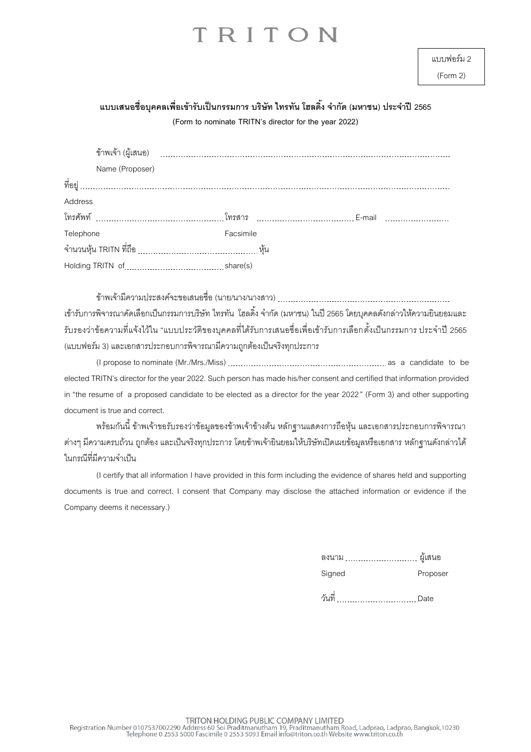(Form 2)

### **แบบเสนอชื่อบุคคลเพอื่ เข้ารับเป็นกรรมการ บริษัท ไทรทัน โฮลดงิ้ จา กัด (มหาชน) ประจา ปี2565**

**(Form to nominate TRITN's director for the year 2022)**

| Name (Proposer) |           |  |
|-----------------|-----------|--|
| ที่อยู่         |           |  |
| Address         |           |  |
|                 |           |  |
| Telephone       | Facsimile |  |
|                 |           |  |
|                 |           |  |

ข้าพเจ้ามีความประสงค์จะขอเสนอชื่อ (นาย/นาง/นางสาว) เข้ารับการพิจารณาคัดเลือกเป็นกรรมการบริษัท ไทรทัน โฮลดิ้ง จำกัด (มหาชน) ในปี 2565 โดยบุคคลดังกล่าวให้ความยินยอมและ รับรองว่าข้อความที่แจ้งไว้ใน "แบบประวัติของบุคคลที่ได้รับการเสนอชื่อเพื่อเข้ารับการเลือกตั้งเป็นกรรมการ ประจำปี 2565 (แบบฟอร์ม 3) และเอกสารประกอบการพิจารณามีความถูกต้องเป็นจริงทุกประการ

(I propose to nominate (Mr./Mrs./Miss) as a candidate to be elected TRITN's director for the year 2022. Such person has made his/her consent and certified that information provided in "the resume of a proposed candidate to be elected as a director for the year 2022" (Form 3) and other supporting document is true and correct.

พร้อมกันนี้ ข้าพเจ้าขอรับรองว่าข้อมูลของข้าพเจ้าข้างต้น หลักฐานแสดงการถือหุ้น และเอกสารประกอบการพิจารณา ต่างๆ มีความครบถ้วน ถูกต้อง และเป็นจริงทุกประการ โดยข้าพเจ้ายินยอมให้บริษัทเปิดเผยข้อมูลหรือเอกสาร หลักฐานดังกล่าวได้ ในกรณีที่มีความจำเป็น

(I certify that all information I have provided in this form including the evidence of shares held and supporting documents is true and correct. I consent that Company may disclose the attached information or evidence if the Company deems it necessary.)

| の、 |  | ۰ã |
|----|--|----|
|----|--|----|

Signed Proposer

วันที่ .................................Date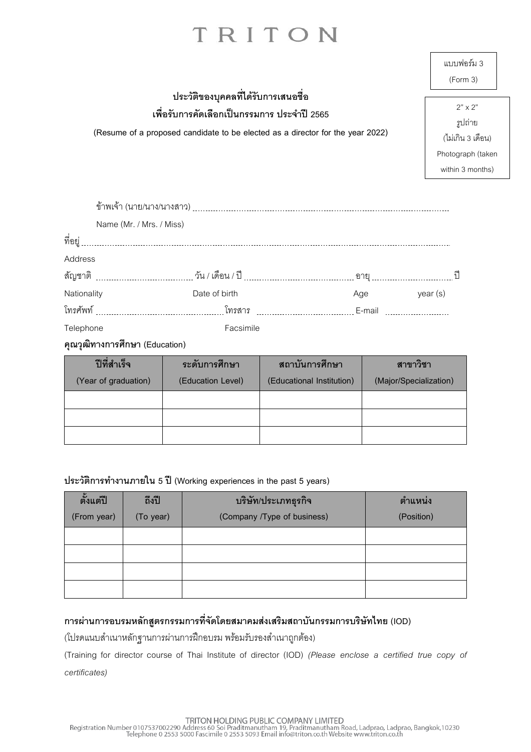|                                                                                                                                                                      | แบบฟอร์ม 3<br>(Form 3)                                                                  |  |
|----------------------------------------------------------------------------------------------------------------------------------------------------------------------|-----------------------------------------------------------------------------------------|--|
| ประวัติของบุคคลที่ได้รับการเสนอชื่อ<br>เพื่อรับการคัดเลือกเป็นกรรมการ ประจำปี 2565<br>(Resume of a proposed candidate to be elected as a director for the year 2022) | $2" \times 2"$<br>รูปถ่าย<br>(ไม่เกิน 3 เดือน)<br>Photograph (taken<br>within 3 months) |  |
| ข้าพเจ้า (นาย/นาง/นางสาว)                                                                                                                                            |                                                                                         |  |

|             | Name (Mr. / Mrs. / Miss) |               |                 |    |
|-------------|--------------------------|---------------|-----------------|----|
| ที่อยู่     |                          |               |                 |    |
| Address     |                          |               |                 |    |
|             | สัญชาติ                  |               |                 | ปี |
| Nationality |                          | Date of birth | year (s)<br>Age |    |
|             |                          |               | E-mail          |    |
| Telephone   |                          | Facsimile     |                 |    |

**คุณวุฒิทางการศึกษา (Education)**

| ปีที่สำเร็จ          | ระดับการศึกษา     | ิสถาบันการศึกษา           | สาขาวิชา               |
|----------------------|-------------------|---------------------------|------------------------|
| (Year of graduation) | (Education Level) | (Educational Institution) | (Major/Specialization) |
|                      |                   |                           |                        |
|                      |                   |                           |                        |
|                      |                   |                           |                        |

#### **ประวัติการท างานภายใน 5 ปี (Working experiences in the past 5 years)**

| ตั้งแต่ปี   | ถึงปี     | บริษัท/ประเภทธุรกิจ         | ตำแหน่ง    |
|-------------|-----------|-----------------------------|------------|
| (From year) | (To year) | (Company /Type of business) | (Position) |
|             |           |                             |            |
|             |           |                             |            |
|             |           |                             |            |
|             |           |                             |            |

### **การผ่านการอบรมหลักสูตรกรรมการที่จัดโดยสมาคมส่งเสริมสถาบันกรรมการบริษัทไทย (IOD)**

(โปรดแนบสำเนาหลักฐานการผ่านการฝึกอบรม พร้อมรับรองสำเนาถูกต้อง)

(Training for director course of Thai Institute of director (IOD) *(Please enclose a certified true copy of certificates)*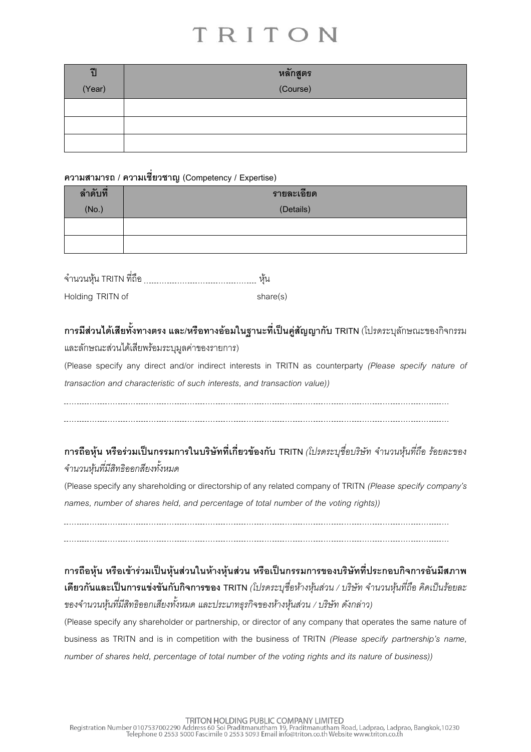| ปี     | หลักสูตร                                             |
|--------|------------------------------------------------------|
| (Year) | <u> Andrew Maria Strandard Barbara (</u><br>(Course) |
|        |                                                      |
|        |                                                      |
|        |                                                      |

### **ความสามารถ / ความเชี่ยวชาญ (Competency / Expertise)**

| ลำดับที่ | รายละเอียด |  |
|----------|------------|--|
| (No.)    | (Details)  |  |
|          |            |  |
|          |            |  |

| จำนวนหุ้น TRITN ที่ถือ | หน       |
|------------------------|----------|
| Holding TRITN of       | share(s) |

### **การมีส่วนได้เสียทั้งทางตรง และ/หรือทางอ้อมในฐานะที่เป็นคู่สัญญากับ TRITN** (โปรดระบุลักษณะของกิจกรรม

และลักษณะส่วนได้เสียพร้อมระบุมูลค่าของรายการ)

(Please specify any direct and/or indirect interests in TRITN as counterparty *(Please specify nature of transaction and characteristic of such interests, and transaction value))*

### **การถือหุ้น หรือร่วมเป็นกรรมการในบริษัทที่เกี่ยวข้องกับ TRITN** *(โปรดระบชุ ื่อบริษัท จำ นวนหนุ้ ทีถ่ ือ รอ้ยละของ จำ นวนหนุ้ ทมี่ ีสทิธิออกสยีงทงั้หมด*

(Please specify any shareholding or directorship of any related company of TRITN *(Please specify company's names, number of shares held, and percentage of total number of the voting rights))*

**การถือหุ้น หรือเข้าร่วมเป็นหุ้นส่วนในห้างหุ้นส่วน หรือเป็นกรรมการของบริษัทที่ประกอบกิจการอันมีสภาพ เดียวกันและเป็ นการแข่งขันกับกิจการของ TRITN** *(โปรดระบุชื่อห้ำงหุ้นส่วน / บริษัท จำ นวนหนุ้ ทีถ่ อื คิดเป็นรอ้ยละ ของจำ นวนหนุ้ ทมี่ ีสทิธิออกเสยีงทงั้หมด และประเภทธุรกิจของหำ้งหนุ้ สว่ น / บรษิัท ดงักล่ำว)*

(Please specify any shareholder or partnership, or director of any company that operates the same nature of business as TRITN and is in competition with the business of TRITN *(Please specify partnership's name, number of shares held, percentage of total number of the voting rights and its nature of business))*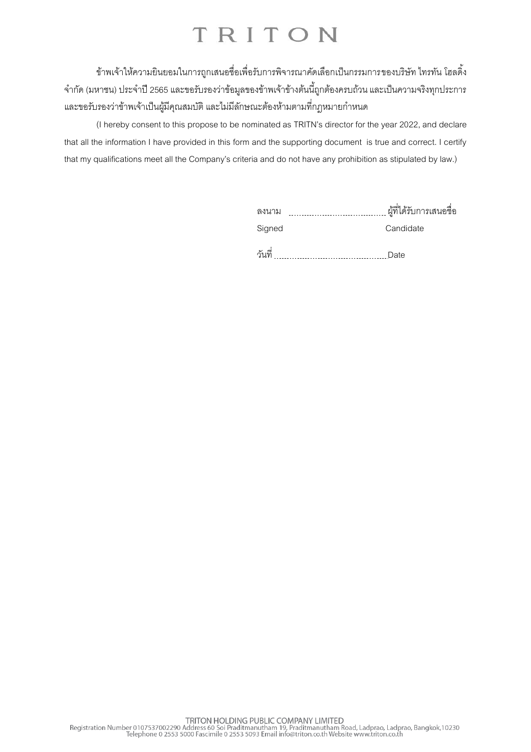ข้าพเจ้าให้ความยินยอมในการถูกเสนอชื่อเพื่อรับการพิจารณาคัดเลือกเป็นกรรมการของบริษัท ไทรทัน โฮลดิ้ง จ ากัด (มหาชน) ประจ าปี 2565และขอรับรองว่าข้อมูลของข้าพเจ้าข้างต้นนี้ถูกต้องครบถ้วน และเป็นความจริงทุกประการ และขอรับรองว่าข้าพเจ้าเป็นผู้มีคุณสมบัติ และไม่มีลักษณะต้องห้ามตามที่กฎหมายกำหนด

(I hereby consent to this propose to be nominated as TRITN's director for the year 2022, and declare that all the information I have provided in this form and the supporting document is true and correct. I certify that my qualifications meet all the Company's criteria and do not have any prohibition as stipulated by law.)

| ลงนาม  | ผู้ที่ได้รับการเสนอชื่อ |
|--------|-------------------------|
| Signed | Candidate               |
| วันที่ | Date                    |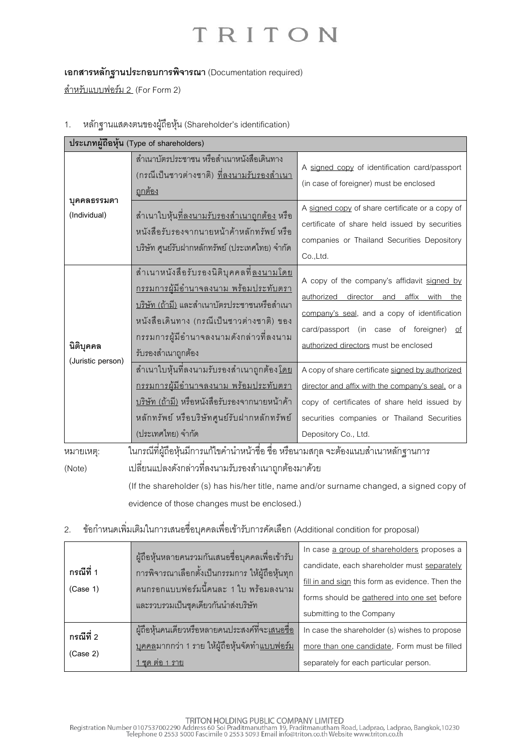### **เอกสารหลักฐานประกอบการพิจารณา** (Documentation required)

<u>สำหรับแบบฟอร์ม 2</u> (For Form 2)

1. หลักฐานแสดงตนของผู้ถือหุ้น (Shareholder's identification)

| บุคคลธรรมดา<br>(Individual)    | สำเนาบัตรประชาชน หรือสำเนาหนังสือเดินทาง<br>(กรณีเป็นชาวต่างชาติ) <u>ที่ลงนามรับรองสำเนา</u><br><u>ถูกต้อง</u>                                                                                                                                                     | A signed copy of identification card/passport<br>(in case of foreigner) must be enclosed                                                                                                                                           |  |
|--------------------------------|--------------------------------------------------------------------------------------------------------------------------------------------------------------------------------------------------------------------------------------------------------------------|------------------------------------------------------------------------------------------------------------------------------------------------------------------------------------------------------------------------------------|--|
|                                | ้สำเนาใบหุ้น <u>ที่ลงนามรับรองสำเนาถูกต้อง</u> หรือ<br>หนังสือรับรองจากนายหน้าค้าหลักทรัพย์ หรือ<br>บริษัท ศูนย์รับฝากหลักทรัพย์ (ประเทศไทย) จำกัด                                                                                                                 | A signed copy of share certificate or a copy of<br>certificate of share held issued by securities<br>companies or Thailand Securities Depository<br>Co.,Ltd.                                                                       |  |
| นิติบุคคล<br>(Juristic person) | ้ สำเนาหนังสือรับรองนิติบุคคลที่ <u>ลงนามโดย</u><br><u>กรรมการผู้มีอำนาจลงนาม พร้อมประทับตรา</u><br><u>บริษัท (ถ้ามี)</u> และสำเนาบัตรประชาชนหรือสำเนา<br>หนังสือเดินทาง (กรณีเป็นชาวต่างชาติ) ของ<br>กรรมการผู้มีอำนาจลงนามดังกล่าวที่ลงนาม<br>รับรองสำเนาถูกต้อง | A copy of the company's affidavit signed by<br>director and affix with<br>authorized<br>the<br>company's seal, and a copy of identification<br>card/passport (in case of foreigner)<br>of<br>authorized directors must be enclosed |  |
|                                | ้สำเนาใบหุ้นที่ลงนามรับรองสำเนาถูกต้อง <u>โดย</u><br><u>กรรมการผู้มีอำนาจลงนาม พร้อมประทับตรา</u><br>บริษัท (ถ้ามี) หรือหนังสือรับรองจากนายหน้าค้า<br>หลักทรัพย์ หรือบริษัทศูนย์รับฝากหลักทรัพย์<br>(ประเทศไทย) จำกัด                                              | A copy of share certificate signed by authorized<br>director and affix with the company's seal, or a<br>copy of certificates of share held issued by<br>securities companies or Thailand Securities<br>Depository Co., Ltd.        |  |
| หมายเหตุ:<br>(Note)            | ในกรณีที่ผู้ถือหุ้นมีการแก้ไขคำนำหน้าชื่อ ชื่อ หรือนามสกุล จะต้องแนบสำเนาหลักฐานการ<br>เปลี่ยนแปลงดังกล่าวที่ลงนามรับรองสำเนาถูกต้องมาด้วย<br>(If the shareholder (s) has his/her title, name and/or surname changed, a signed copy of                             |                                                                                                                                                                                                                                    |  |

evidence of those changes must be enclosed.)

### 2. ข้อกำหนดเพิ่มเติมในการเสนอชื่อบุคคลเพื่อเข้ารับการคัดเลือก (Additional condition for proposal)

| ึกรณีที่ 1<br>(Case 1) | ผู้ถือหุ้นหลายคนรวมกันเสนอชื่อบุคคลเพื่อเข้ารับ<br>่ การพิจารณาเลือกตั้งเป็นกรรมการ ให้ผู้ถือหุ้นทุก<br>้คนกรคกแบบฟคร์มนี้คนละ 1 ใบ พร้คมลงนาม | In case a group of shareholders proposes a<br>candidate, each shareholder must separately<br>fill in and sign this form as evidence. Then the |
|------------------------|------------------------------------------------------------------------------------------------------------------------------------------------|-----------------------------------------------------------------------------------------------------------------------------------------------|
|                        | และรวบรวมเป็นชุดเดียวกันนำส่งบริษัท                                                                                                            | forms should be gathered into one set before                                                                                                  |
|                        |                                                                                                                                                | submitting to the Company                                                                                                                     |
| กรณีที่ 2<br>(Case 2)  | ้ผู้ถือหุ้นคนเดียวหรือหลายคนประสงค์ที่จะ <u>เสนอจื่อ</u>                                                                                       | In case the shareholder (s) wishes to propose                                                                                                 |
|                        | <u>บุคคล</u> มากกว่า 1 ราย ให้ผู้ถือหุ้นจัดทำ <u>แบบฟอร์ม</u>                                                                                  | more than one candidate, Form must be filled                                                                                                  |
|                        | ิชด ต่อ 1 ราย                                                                                                                                  | separately for each particular person.                                                                                                        |

TRITON HOLDING PUBLIC COMPANY LIMITED<br>Registration Number 0107537002290 Address 60 Soi Praditmanutham 19, Praditmanutham Road, Ladprao, Ladprao, Bangkok,10230<br>Telephone 0 2553 5000 Fascimile 0 2553 5093 Email info@triton.c